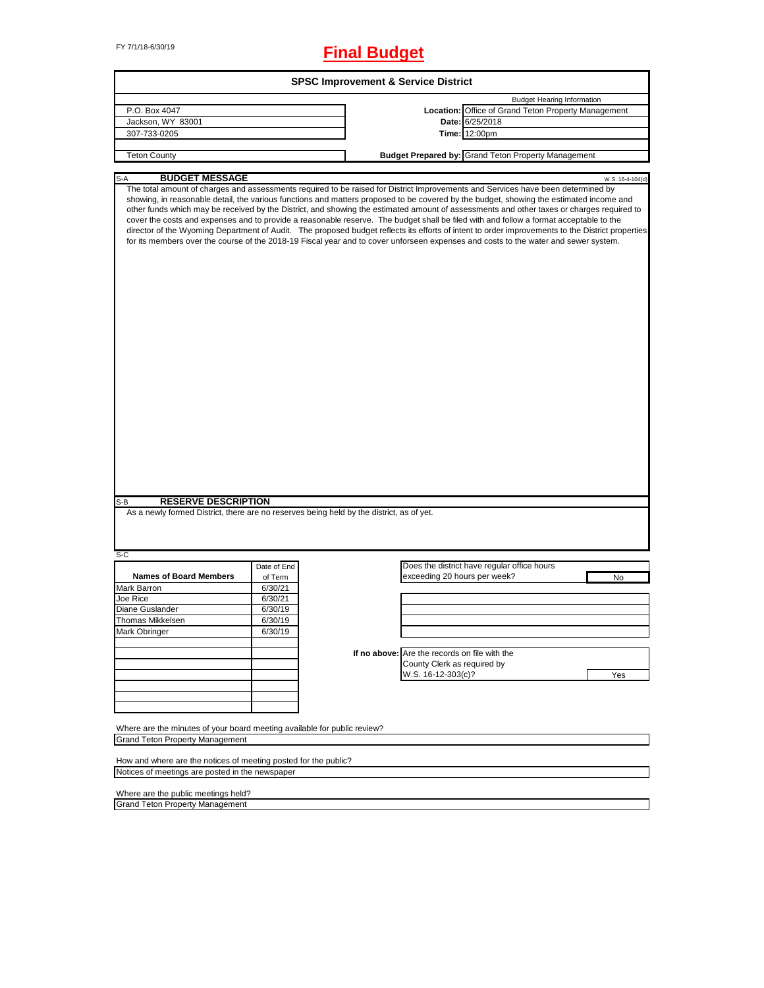# FY 7/1/18-6/30/19 **Final Budget**

| P.O. Box 4047<br>Jackson, WY 83001<br>307-733-0205                                                                                                                                                                                                                                                                                                                                                                                                                                                                                                                                                                                                                                                                                                                                                                                                            |             | <b>SPSC Improvement &amp; Service District</b> |                                                            |                  |
|---------------------------------------------------------------------------------------------------------------------------------------------------------------------------------------------------------------------------------------------------------------------------------------------------------------------------------------------------------------------------------------------------------------------------------------------------------------------------------------------------------------------------------------------------------------------------------------------------------------------------------------------------------------------------------------------------------------------------------------------------------------------------------------------------------------------------------------------------------------|-------------|------------------------------------------------|------------------------------------------------------------|------------------|
|                                                                                                                                                                                                                                                                                                                                                                                                                                                                                                                                                                                                                                                                                                                                                                                                                                                               |             |                                                | <b>Budget Hearing Information</b>                          |                  |
|                                                                                                                                                                                                                                                                                                                                                                                                                                                                                                                                                                                                                                                                                                                                                                                                                                                               |             |                                                | Location: Office of Grand Teton Property Management        |                  |
|                                                                                                                                                                                                                                                                                                                                                                                                                                                                                                                                                                                                                                                                                                                                                                                                                                                               |             |                                                | Date: 6/25/2018                                            |                  |
|                                                                                                                                                                                                                                                                                                                                                                                                                                                                                                                                                                                                                                                                                                                                                                                                                                                               |             |                                                | Time: 12:00pm                                              |                  |
|                                                                                                                                                                                                                                                                                                                                                                                                                                                                                                                                                                                                                                                                                                                                                                                                                                                               |             |                                                |                                                            |                  |
| <b>Teton County</b>                                                                                                                                                                                                                                                                                                                                                                                                                                                                                                                                                                                                                                                                                                                                                                                                                                           |             |                                                | <b>Budget Prepared by: Grand Teton Property Management</b> |                  |
| <b>BUDGET MESSAGE</b><br>$S-A$                                                                                                                                                                                                                                                                                                                                                                                                                                                                                                                                                                                                                                                                                                                                                                                                                                |             |                                                |                                                            | W.S. 16-4-104(d) |
| The total amount of charges and assessments required to be raised for District Improvements and Services have been determined by<br>showing, in reasonable detail, the various functions and matters proposed to be covered by the budget, showing the estimated income and<br>other funds which may be received by the District, and showing the estimated amount of assessments and other taxes or charges required to<br>cover the costs and expenses and to provide a reasonable reserve. The budget shall be filed with and follow a format acceptable to the<br>director of the Wyoming Department of Audit. The proposed budget reflects its efforts of intent to order improvements to the District properties<br>for its members over the course of the 2018-19 Fiscal year and to cover unforseen expenses and costs to the water and sewer system. |             |                                                |                                                            |                  |
|                                                                                                                                                                                                                                                                                                                                                                                                                                                                                                                                                                                                                                                                                                                                                                                                                                                               |             |                                                |                                                            |                  |
| <b>RESERVE DESCRIPTION</b><br>$S-B$                                                                                                                                                                                                                                                                                                                                                                                                                                                                                                                                                                                                                                                                                                                                                                                                                           |             |                                                |                                                            |                  |
|                                                                                                                                                                                                                                                                                                                                                                                                                                                                                                                                                                                                                                                                                                                                                                                                                                                               |             |                                                |                                                            |                  |
| As a newly formed District, there are no reserves being held by the district, as of yet.                                                                                                                                                                                                                                                                                                                                                                                                                                                                                                                                                                                                                                                                                                                                                                      |             |                                                |                                                            |                  |
| S-C                                                                                                                                                                                                                                                                                                                                                                                                                                                                                                                                                                                                                                                                                                                                                                                                                                                           |             |                                                |                                                            |                  |
|                                                                                                                                                                                                                                                                                                                                                                                                                                                                                                                                                                                                                                                                                                                                                                                                                                                               | Date of End |                                                | Does the district have regular office hours                |                  |
| <b>Names of Board Members</b>                                                                                                                                                                                                                                                                                                                                                                                                                                                                                                                                                                                                                                                                                                                                                                                                                                 | of Term     | exceeding 20 hours per week?                   |                                                            | No               |
| Mark Barron                                                                                                                                                                                                                                                                                                                                                                                                                                                                                                                                                                                                                                                                                                                                                                                                                                                   | 6/30/21     |                                                |                                                            |                  |
| Joe Rice                                                                                                                                                                                                                                                                                                                                                                                                                                                                                                                                                                                                                                                                                                                                                                                                                                                      | 6/30/21     |                                                |                                                            |                  |
| Diane Guslander                                                                                                                                                                                                                                                                                                                                                                                                                                                                                                                                                                                                                                                                                                                                                                                                                                               | 6/30/19     |                                                |                                                            |                  |
| <b>Thomas Mikkelsen</b>                                                                                                                                                                                                                                                                                                                                                                                                                                                                                                                                                                                                                                                                                                                                                                                                                                       | 6/30/19     |                                                |                                                            |                  |
| Mark Obringer                                                                                                                                                                                                                                                                                                                                                                                                                                                                                                                                                                                                                                                                                                                                                                                                                                                 | 6/30/19     |                                                |                                                            |                  |
|                                                                                                                                                                                                                                                                                                                                                                                                                                                                                                                                                                                                                                                                                                                                                                                                                                                               |             |                                                |                                                            |                  |
|                                                                                                                                                                                                                                                                                                                                                                                                                                                                                                                                                                                                                                                                                                                                                                                                                                                               |             | If no above: Are the records on file with the  |                                                            |                  |
|                                                                                                                                                                                                                                                                                                                                                                                                                                                                                                                                                                                                                                                                                                                                                                                                                                                               |             | County Clerk as required by                    |                                                            |                  |
|                                                                                                                                                                                                                                                                                                                                                                                                                                                                                                                                                                                                                                                                                                                                                                                                                                                               |             | W.S. 16-12-303(c)?                             |                                                            | Yes              |
|                                                                                                                                                                                                                                                                                                                                                                                                                                                                                                                                                                                                                                                                                                                                                                                                                                                               |             |                                                |                                                            |                  |
|                                                                                                                                                                                                                                                                                                                                                                                                                                                                                                                                                                                                                                                                                                                                                                                                                                                               |             |                                                |                                                            |                  |
|                                                                                                                                                                                                                                                                                                                                                                                                                                                                                                                                                                                                                                                                                                                                                                                                                                                               |             |                                                |                                                            |                  |
|                                                                                                                                                                                                                                                                                                                                                                                                                                                                                                                                                                                                                                                                                                                                                                                                                                                               |             |                                                |                                                            |                  |
| Where are the minutes of your board meeting available for public review?<br><b>Grand Teton Property Management</b>                                                                                                                                                                                                                                                                                                                                                                                                                                                                                                                                                                                                                                                                                                                                            |             |                                                |                                                            |                  |

Notices of meetings are posted in the newspaper

Where are the public meetings held? Grand Teton Property Management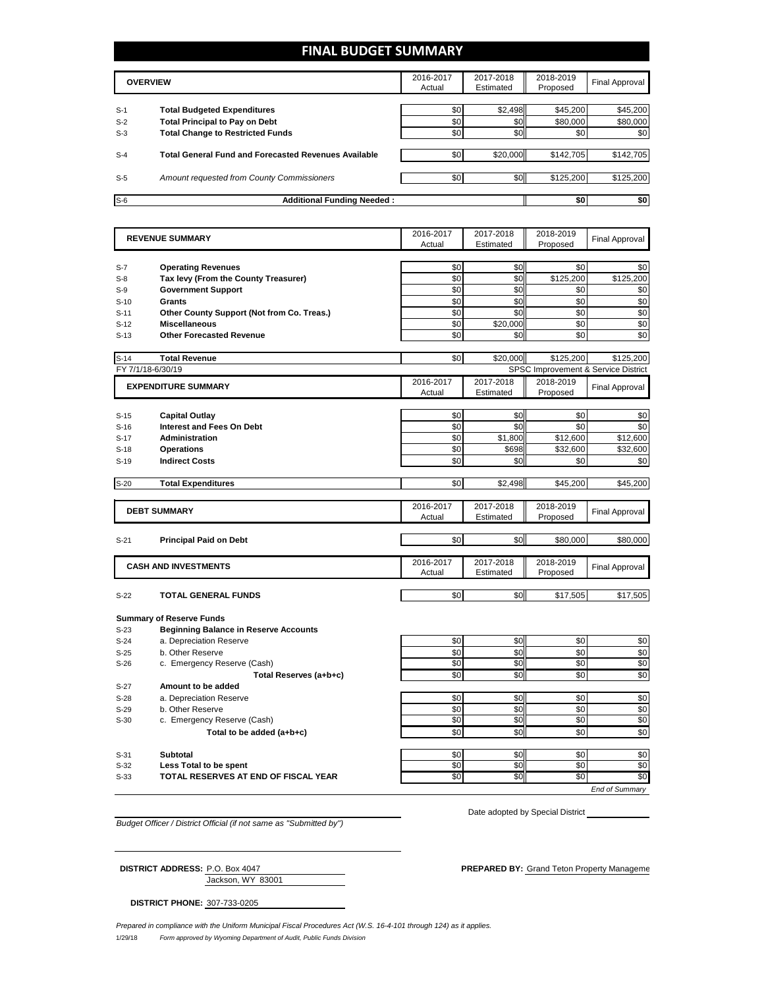# **FINAL BUDGET SUMMARY**

|       | <b>OVERVIEW</b>                                             | 2016-2017<br>Actual | 2017-2018<br>Estimated | 2018-2019<br>Proposed | Final Approval |
|-------|-------------------------------------------------------------|---------------------|------------------------|-----------------------|----------------|
| $S-1$ | <b>Total Budgeted Expenditures</b>                          | \$0                 | \$2,498                | \$45,200              | \$45,200       |
| $S-2$ | <b>Total Principal to Pay on Debt</b>                       | \$0                 | \$0                    | \$80,000              | \$80,000       |
| $S-3$ | <b>Total Change to Restricted Funds</b>                     | \$0                 | \$0 <sub>1</sub>       | \$0                   | \$0            |
| $S-4$ | <b>Total General Fund and Forecasted Revenues Available</b> | \$0                 | \$20,000               | \$142,705             | \$142,705      |
| $S-5$ | Amount requested from County Commissioners                  | \$0                 | \$0                    | \$125.200             | \$125,200      |
| $S-6$ | <b>Additional Funding Needed:</b>                           |                     |                        | \$0                   | \$0            |

|                   | <b>REVENUE SUMMARY</b>                                             |            | 2017-2018        | 2018-2019       | <b>Final Approval</b>               |
|-------------------|--------------------------------------------------------------------|------------|------------------|-----------------|-------------------------------------|
|                   |                                                                    | Actual     | Estimated        | Proposed        |                                     |
|                   |                                                                    |            |                  |                 |                                     |
| $S-7$             | <b>Operating Revenues</b>                                          | \$0        | \$0              | \$0             | \$0                                 |
| $S-8$             | Tax levy (From the County Treasurer)                               | \$0        | \$0              | \$125,200       | \$125.200                           |
| $S-9$             | <b>Government Support</b>                                          | \$0        | \$0              | \$0             | \$0                                 |
| $S-10$            | Grants                                                             | \$0<br>\$0 | \$0<br>\$0       | \$0<br>\$0      | \$0                                 |
| $S-11$<br>$S-12$  | Other County Support (Not from Co. Treas.)<br><b>Miscellaneous</b> | \$0        | \$20,000         | \$0             | \$0<br>\$0                          |
| $S-13$            | <b>Other Forecasted Revenue</b>                                    | \$0        | \$0              | \$0             | \$0                                 |
|                   |                                                                    |            |                  |                 |                                     |
| $S-14$            | <b>Total Revenue</b>                                               | \$0        | \$20,000         | \$125,200       | \$125,200                           |
| FY 7/1/18-6/30/19 |                                                                    |            |                  |                 | SPSC Improvement & Service District |
|                   | <b>EXPENDITURE SUMMARY</b>                                         | 2016-2017  | 2017-2018        | 2018-2019       | <b>Final Approval</b>               |
|                   |                                                                    | Actual     | Estimated        | Proposed        |                                     |
|                   |                                                                    |            |                  |                 |                                     |
| $S-15$            | <b>Capital Outlay</b>                                              | \$0        | \$0              | \$0             | \$0                                 |
| $S-16$            | <b>Interest and Fees On Debt</b>                                   | \$0        | \$0              | \$0             | \$0                                 |
| $S-17$            | Administration                                                     | \$0<br>\$0 | \$1,800<br>\$698 | \$12,600        | \$12,600                            |
| $S-18$<br>$S-19$  | <b>Operations</b><br><b>Indirect Costs</b>                         | \$0        | \$0              | \$32,600<br>\$0 | \$32,600<br>\$0                     |
|                   |                                                                    |            |                  |                 |                                     |
| $S-20$            | <b>Total Expenditures</b>                                          | \$0        | \$2,498          | \$45,200        | \$45,200                            |
|                   |                                                                    |            |                  |                 |                                     |
|                   | <b>DEBT SUMMARY</b>                                                | 2016-2017  | 2017-2018        | 2018-2019       | <b>Final Approval</b>               |
|                   |                                                                    | Actual     | Estimated        | Proposed        |                                     |
|                   |                                                                    |            |                  |                 |                                     |
| $S-21$            | <b>Principal Paid on Debt</b>                                      | \$0        | \$0              | \$80,000        | \$80,000                            |
|                   |                                                                    | 2016-2017  | 2017-2018        | 2018-2019       |                                     |
|                   | <b>CASH AND INVESTMENTS</b>                                        | Actual     | Estimated        | Proposed        | <b>Final Approval</b>               |
|                   |                                                                    |            |                  |                 |                                     |
| $S-22$            | <b>TOTAL GENERAL FUNDS</b>                                         | \$0        | \$0              | \$17,505        | \$17,505                            |
|                   |                                                                    |            |                  |                 |                                     |
|                   | <b>Summary of Reserve Funds</b>                                    |            |                  |                 |                                     |
| $S-23$            | <b>Beginning Balance in Reserve Accounts</b>                       |            |                  |                 |                                     |
| $S-24$<br>$S-25$  | a. Depreciation Reserve<br>b. Other Reserve                        | \$0<br>\$0 | \$0<br>\$0       | \$0<br>\$0      | \$0<br>\$0                          |
| $S-26$            | c. Emergency Reserve (Cash)                                        | \$0        | \$0              | \$0             | \$0                                 |
|                   | Total Reserves (a+b+c)                                             | \$0        | \$0              | \$0             | \$0                                 |
| $S-27$            | Amount to be added                                                 |            |                  |                 |                                     |
| $S-28$            | a. Depreciation Reserve                                            | \$0        | \$0              | \$0             | \$0                                 |
| $S-29$            | b. Other Reserve                                                   | \$0        | \$0              | \$0             | $\overline{50}$                     |
| $S-30$            | c. Emergency Reserve (Cash)                                        | \$0        | \$0              | \$0             | \$0                                 |
|                   | Total to be added (a+b+c)                                          | \$0        | \$0              | \$0             | \$0                                 |
|                   |                                                                    |            |                  |                 |                                     |
| $S-31$            | <b>Subtotal</b>                                                    | \$0        | \$0              | \$0             | \$0                                 |
| $S-32$            | Less Total to be spent                                             | \$0        | \$0              | \$0             | \$0                                 |
| $S-33$            | TOTAL RESERVES AT END OF FISCAL YEAR                               | \$0        | \$0              | \$0             | \$0                                 |
|                   |                                                                    |            |                  |                 | End of Summarv                      |

*Budget Officer / District Official (if not same as "Submitted by")*

Date adopted by Special District

Jackson, WY 83001

**DISTRICT ADDRESS:** P.O. Box 4047 **PREPARED BY:** Grand Teton Property Management

**DISTRICT PHONE:** 307-733-0205

1/29/18 *Form approved by Wyoming Department of Audit, Public Funds Division Prepared in compliance with the Uniform Municipal Fiscal Procedures Act (W.S. 16-4-101 through 124) as it applies.*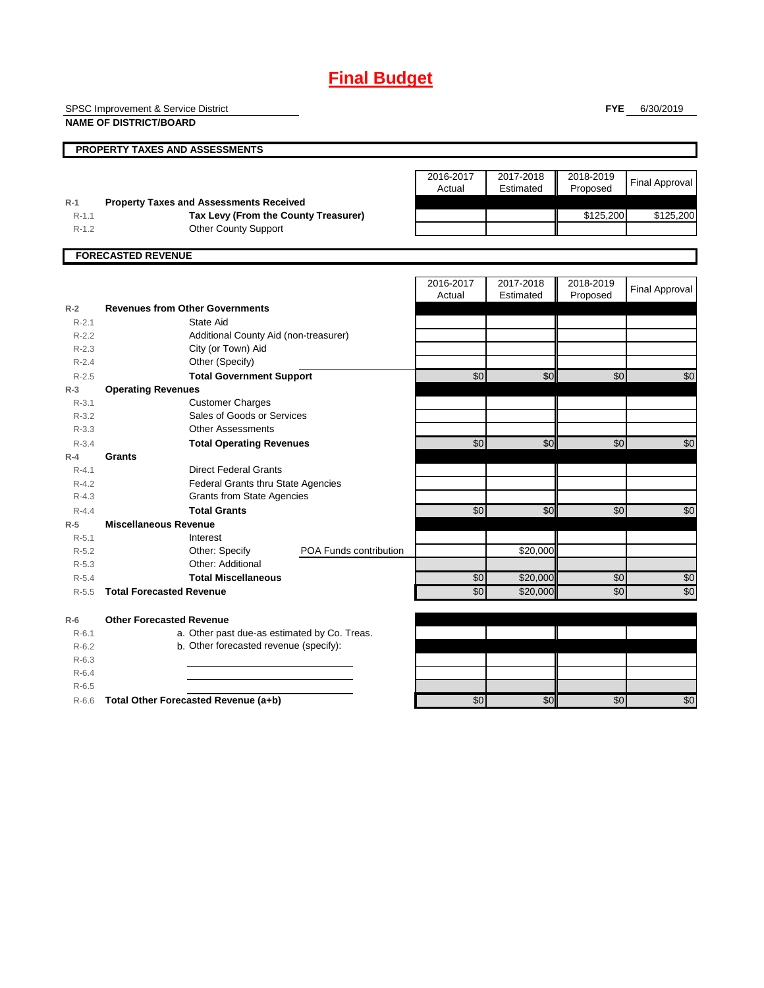# **Final Budget**

SPSC Improvement & Service District

**NAME OF DISTRICT/BOARD**

**FYE** 6/30/2019

|                    | <b>PROPERTY TAXES AND ASSESSMENTS</b>                                                  |                        |                     |                        |                       |                       |
|--------------------|----------------------------------------------------------------------------------------|------------------------|---------------------|------------------------|-----------------------|-----------------------|
|                    |                                                                                        |                        |                     |                        |                       |                       |
|                    |                                                                                        |                        | 2016-2017<br>Actual | 2017-2018<br>Estimated | 2018-2019<br>Proposed | <b>Final Approval</b> |
| $R-1$<br>$R - 1.1$ | <b>Property Taxes and Assessments Received</b><br>Tax Levy (From the County Treasurer) |                        |                     |                        | \$125,200             | \$125,200             |
| $R-1.2$            | Other County Support                                                                   |                        |                     |                        |                       |                       |
|                    |                                                                                        |                        |                     |                        |                       |                       |
|                    | <b>FORECASTED REVENUE</b>                                                              |                        |                     |                        |                       |                       |
|                    |                                                                                        |                        | 2016-2017<br>Actual | 2017-2018<br>Estimated | 2018-2019<br>Proposed | <b>Final Approval</b> |
| $R-2$              | <b>Revenues from Other Governments</b>                                                 |                        |                     |                        |                       |                       |
| $R-2.1$            | State Aid                                                                              |                        |                     |                        |                       |                       |
| $R-2.2$            | Additional County Aid (non-treasurer)                                                  |                        |                     |                        |                       |                       |
| $R - 2.3$          | City (or Town) Aid                                                                     |                        |                     |                        |                       |                       |
| $R - 2.4$          | Other (Specify)                                                                        |                        |                     |                        |                       |                       |
| $R-2.5$            | <b>Total Government Support</b>                                                        |                        | $\overline{50}$     | \$0                    | \$0                   | \$0                   |
| $R-3$              | <b>Operating Revenues</b>                                                              |                        |                     |                        |                       |                       |
| $R - 3.1$          | <b>Customer Charges</b>                                                                |                        |                     |                        |                       |                       |
| $R - 3.2$          | Sales of Goods or Services                                                             |                        |                     |                        |                       |                       |
| $R - 3.3$          | <b>Other Assessments</b>                                                               |                        |                     |                        |                       |                       |
| $R - 3.4$          | <b>Total Operating Revenues</b>                                                        |                        | $\overline{60}$     | \$0                    | \$0                   | \$0                   |
| $R-4$              | Grants                                                                                 |                        |                     |                        |                       |                       |
| $R - 4.1$          | <b>Direct Federal Grants</b>                                                           |                        |                     |                        |                       |                       |
| $R - 4.2$          | <b>Federal Grants thru State Agencies</b>                                              |                        |                     |                        |                       |                       |
| $R - 4.3$          | <b>Grants from State Agencies</b>                                                      |                        |                     |                        |                       |                       |
| $R - 4.4$          | <b>Total Grants</b>                                                                    |                        | $\sqrt{6}$          | \$0                    | \$0                   | $\overline{50}$       |
| $R-5$              | <b>Miscellaneous Revenue</b>                                                           |                        |                     |                        |                       |                       |
| $R - 5.1$          | Interest                                                                               |                        |                     |                        |                       |                       |
| $R-5.2$            | Other: Specify                                                                         | POA Funds contribution |                     | \$20,000               |                       |                       |
| $R - 5.3$          | Other: Additional                                                                      |                        |                     |                        |                       |                       |
| $R - 5.4$          | <b>Total Miscellaneous</b>                                                             |                        | \$0                 | \$20,000               | \$0                   | \$0                   |
| $R - 5.5$          | <b>Total Forecasted Revenue</b>                                                        |                        | \$0                 | \$20,000               | \$0                   | $\sqrt{6}$            |
| $R-6$              | <b>Other Forecasted Revenue</b>                                                        |                        |                     |                        |                       |                       |
| $R - 6.1$          | a. Other past due-as estimated by Co. Treas.                                           |                        |                     |                        |                       |                       |
| $R-6.2$            | b. Other forecasted revenue (specify):                                                 |                        |                     |                        |                       |                       |
| $R-6.3$            |                                                                                        |                        |                     |                        |                       |                       |
| $R-6.4$            |                                                                                        |                        |                     |                        |                       |                       |
| $R-6.5$            |                                                                                        |                        |                     |                        |                       |                       |
| $R-6.6$            | Total Other Forecasted Revenue (a+b)                                                   |                        | \$0                 | \$0                    | \$0                   | \$0                   |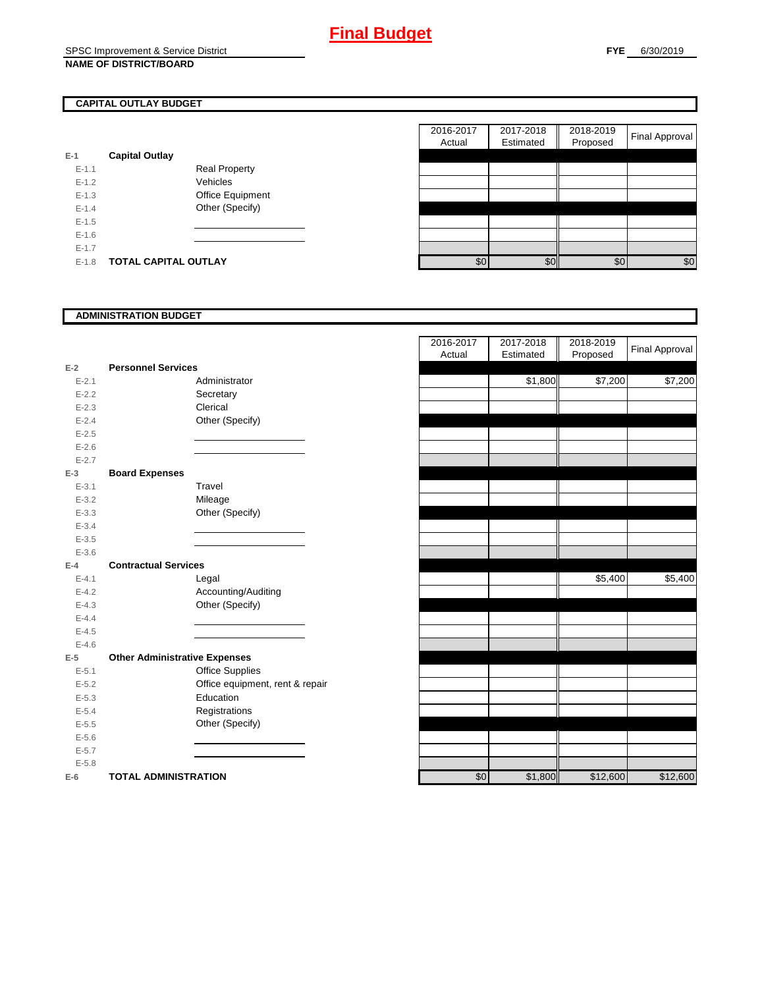## **CAPITAL OUTLAY BUDGET**

| $E-1$     | <b>Capital Outlay</b> |                         |
|-----------|-----------------------|-------------------------|
| $E - 1.1$ |                       | <b>Real Property</b>    |
| $F-12$    |                       | Vehicles                |
| $F-1.3$   |                       | <b>Office Equipment</b> |
| $F-14$    |                       | Other (Specify)         |
| $F-1.5$   |                       |                         |
| $F-16$    |                       |                         |
| $E - 1.7$ |                       |                         |
| $E - 1.8$ | TOTAL CAPITAL OUTLAY  |                         |

|           |                             |                      | 2016-2017 | 2017-2018 | 2018-2019 |                       |
|-----------|-----------------------------|----------------------|-----------|-----------|-----------|-----------------------|
|           |                             |                      | Actual    | Estimated | Proposed  | <b>Final Approval</b> |
|           | <b>Capital Outlay</b>       |                      |           |           |           |                       |
| $E-1.1$   |                             | <b>Real Property</b> |           |           |           |                       |
| $E-1.2$   |                             | Vehicles             |           |           |           |                       |
| $E-1.3$   |                             | Office Equipment     |           |           |           |                       |
| $E - 1.4$ |                             | Other (Specify)      |           |           |           |                       |
| $E-1.5$   |                             |                      |           |           |           |                       |
| $E-1.6$   |                             |                      |           |           |           |                       |
| $E - 1.7$ |                             |                      |           |           |           |                       |
| $E-1.8$   | <b>TOTAL CAPITAL OUTLAY</b> |                      | \$0       | \$0       | \$0       | \$0                   |

## **ADMINISTRATION BUDGET**

| $E-2$     | <b>Personnel Services</b>            |  |
|-----------|--------------------------------------|--|
| $E - 2.1$ | Administrator                        |  |
| $E - 2.2$ | Secretary                            |  |
| $E - 2.3$ | Clerical                             |  |
| $E - 2.4$ | Other (Specify)                      |  |
| $E - 2.5$ |                                      |  |
| $E - 2.6$ |                                      |  |
| $E - 2.7$ |                                      |  |
| $E-3$     | <b>Board Expenses</b>                |  |
| $E - 3.1$ | Travel                               |  |
| $E - 3.2$ | Mileage                              |  |
| $E - 3.3$ | Other (Specify)                      |  |
| $E - 3.4$ |                                      |  |
| $E - 3.5$ |                                      |  |
| $E - 3.6$ |                                      |  |
| $E-4$     | <b>Contractual Services</b>          |  |
| $E - 4.1$ | Legal                                |  |
| $E - 4.2$ | Accounting/Auditing                  |  |
| $E - 4.3$ | Other (Specify)                      |  |
| $E - 4.4$ |                                      |  |
| $E - 4.5$ |                                      |  |
| $E - 4.6$ |                                      |  |
| $E-5$     | <b>Other Administrative Expenses</b> |  |
| $E - 5.1$ | <b>Office Supplies</b>               |  |
| $E - 5.2$ | Office equipment, rent & repair      |  |
| $E - 5.3$ | Education                            |  |
| $E - 5.4$ | Registrations                        |  |
| $E - 5.5$ | Other (Specify)                      |  |
| $E - 5.6$ |                                      |  |
| $E - 5.7$ |                                      |  |
| $E - 5.8$ |                                      |  |
| $E-6$     | <b>TOTAL ADMINISTRATION</b>          |  |

|                          |                                      |                                 | 2016-2017 | 2017-2018 | 2018-2019 | <b>Final Approval</b> |
|--------------------------|--------------------------------------|---------------------------------|-----------|-----------|-----------|-----------------------|
|                          |                                      |                                 | Actual    | Estimated | Proposed  |                       |
| $\overline{a}$           | <b>Personnel Services</b>            |                                 |           |           |           |                       |
| $E - 2.1$                |                                      | Administrator                   |           | \$1,800   | \$7,200   | \$7,200               |
| $E - 2.2$                |                                      | Secretary                       |           |           |           |                       |
| $E - 2.3$                |                                      | Clerical                        |           |           |           |                       |
| $E - 2.4$                |                                      | Other (Specify)                 |           |           |           |                       |
| $E - 2.5$                |                                      |                                 |           |           |           |                       |
| $E - 2.6$                |                                      |                                 |           |           |           |                       |
| $E - 2.7$                |                                      |                                 |           |           |           |                       |
| š.                       | <b>Board Expenses</b>                |                                 |           |           |           |                       |
| $E - 3.1$                |                                      | Travel                          |           |           |           |                       |
| $E - 3.2$                |                                      | Mileage                         |           |           |           |                       |
| $E - 3.3$                |                                      | Other (Specify)                 |           |           |           |                       |
| $E - 3.4$                |                                      |                                 |           |           |           |                       |
| $E - 3.5$                |                                      |                                 |           |           |           |                       |
| $E - 3.6$                |                                      |                                 |           |           |           |                       |
| Ļ.                       | <b>Contractual Services</b>          |                                 |           |           |           |                       |
| $E - 4.1$                |                                      | Legal                           |           |           | \$5,400   | \$5,400               |
| $E - 4.2$                |                                      | Accounting/Auditing             |           |           |           |                       |
| $E - 4.3$                |                                      | Other (Specify)                 |           |           |           |                       |
| $E - 4.4$                |                                      |                                 |           |           |           |                       |
| $E - 4.5$                |                                      |                                 |           |           |           |                       |
| $E - 4.6$                |                                      |                                 |           |           |           |                       |
| $\overline{\phantom{a}}$ | <b>Other Administrative Expenses</b> |                                 |           |           |           |                       |
| $E - 5.1$                |                                      | Office Supplies                 |           |           |           |                       |
| $E - 5.2$                |                                      | Office equipment, rent & repair |           |           |           |                       |
| $E - 5.3$                |                                      | Education                       |           |           |           |                       |
| $E - 5.4$                |                                      | Registrations                   |           |           |           |                       |
| $E - 5.5$                |                                      | Other (Specify)                 |           |           |           |                       |
| $E - 5.6$                |                                      |                                 |           |           |           |                       |
| $E - 5.7$                |                                      |                                 |           |           |           |                       |
| $E - 5.8$                |                                      |                                 |           |           |           |                       |
| ì                        | <b>TOTAL ADMINISTRATION</b>          |                                 | \$0       | \$1,800   | \$12,600  | \$12,600              |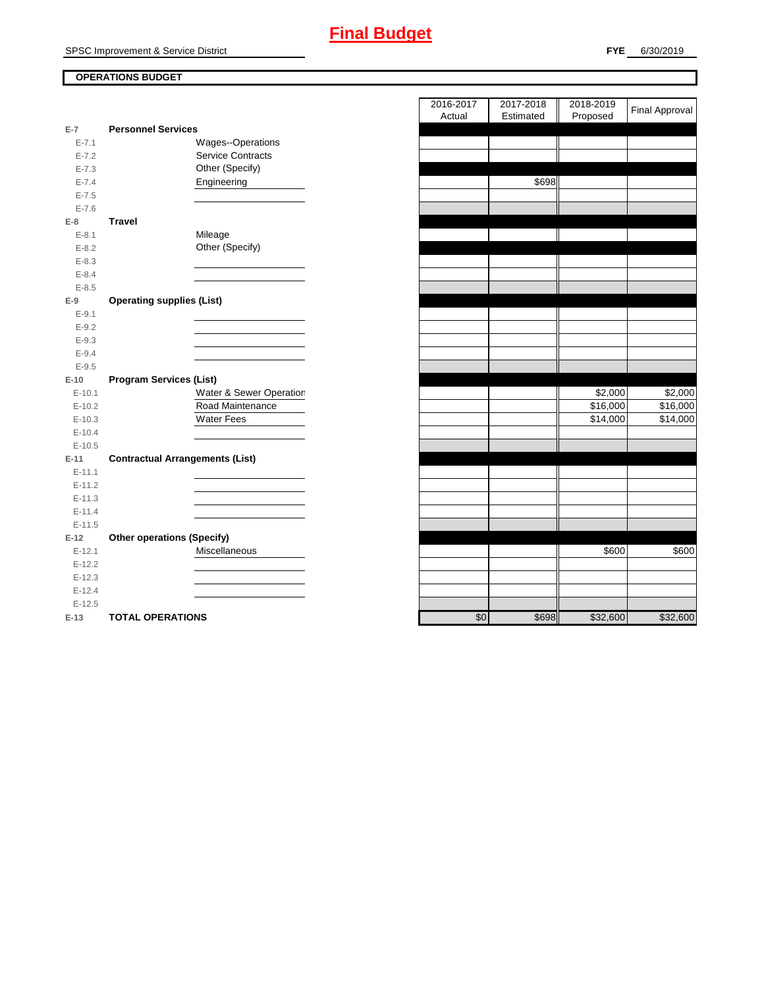## **OPERATIONS BUDGET**

| $E-7$     | <b>Personnel Services</b>              |     |       |
|-----------|----------------------------------------|-----|-------|
| $E - 7.1$ | Wages--Operations                      |     |       |
| $E - 7.2$ | <b>Service Contracts</b>               |     |       |
| $E - 7.3$ | Other (Specify)                        |     |       |
| $E - 7.4$ | Engineering                            |     | \$698 |
| $E - 7.5$ |                                        |     |       |
| $E - 7.6$ |                                        |     |       |
| $E-8$     | <b>Travel</b>                          |     |       |
| $E - 8.1$ | Mileage                                |     |       |
| $E - 8.2$ | Other (Specify)                        |     |       |
| $E - 8.3$ |                                        |     |       |
| $E - 8.4$ |                                        |     |       |
| $E - 8.5$ |                                        |     |       |
| $E-9$     | <b>Operating supplies (List)</b>       |     |       |
| $E - 9.1$ |                                        |     |       |
| $E-9.2$   |                                        |     |       |
| $E - 9.3$ |                                        |     |       |
| $E - 9.4$ |                                        |     |       |
| $E - 9.5$ |                                        |     |       |
| $E-10$    | <b>Program Services (List)</b>         |     |       |
| $E-10.1$  | Water & Sewer Operation                |     |       |
| $E-10.2$  | Road Maintenance                       |     |       |
| $E-10.3$  | <b>Water Fees</b>                      |     |       |
| $E-10.4$  |                                        |     |       |
| $E-10.5$  |                                        |     |       |
| $E-11$    | <b>Contractual Arrangements (List)</b> |     |       |
| $E-11.1$  |                                        |     |       |
| $E-11.2$  |                                        |     |       |
| $E-11.3$  |                                        |     |       |
| $E-11.4$  |                                        |     |       |
| $E-11.5$  |                                        |     |       |
| $E-12$    | <b>Other operations (Specify)</b>      |     |       |
| $E-12.1$  | Miscellaneous                          |     |       |
| $E-12.2$  |                                        |     |       |
| $E-12.3$  |                                        |     |       |
| $E-12.4$  |                                        |     |       |
| $E-12.5$  |                                        |     |       |
| $E-13$    | <b>TOTAL OPERATIONS</b>                | \$0 | \$698 |

|                |                                        | 2016-2017  | 2017-2018 | 2018-2019 | <b>Final Approval</b> |
|----------------|----------------------------------------|------------|-----------|-----------|-----------------------|
|                |                                        | Actual     | Estimated | Proposed  |                       |
| $\overline{7}$ | <b>Personnel Services</b>              |            |           |           |                       |
| $E - 7.1$      | Wages--Operations                      |            |           |           |                       |
| $E - 7.2$      | <b>Service Contracts</b>               |            |           |           |                       |
| $E - 7.3$      | Other (Specify)                        |            |           |           |                       |
| $E - 7.4$      | Engineering                            |            | \$698     |           |                       |
| $E - 7.5$      |                                        |            |           |           |                       |
| $E - 7.6$      |                                        |            |           |           |                       |
| $\bf{8}$       | <b>Travel</b>                          |            |           |           |                       |
| $E-8.1$        | Mileage                                |            |           |           |                       |
| $E-8.2$        | Other (Specify)                        |            |           |           |                       |
| $E - 8.3$      |                                        |            |           |           |                       |
| $E - 8.4$      |                                        |            |           |           |                       |
| $E - 8.5$      |                                        |            |           |           |                       |
| 9              | <b>Operating supplies (List)</b>       |            |           |           |                       |
| $E-9.1$        |                                        |            |           |           |                       |
| $E - 9.2$      |                                        |            |           |           |                       |
| $E-9.3$        |                                        |            |           |           |                       |
| $E - 9.4$      |                                        |            |           |           |                       |
| $E-9.5$        |                                        |            |           |           |                       |
| $10^{\circ}$   | <b>Program Services (List)</b>         |            |           |           |                       |
| $E-10.1$       | Water & Sewer Operation                |            |           | \$2,000   | \$2,000               |
| $E-10.2$       | Road Maintenance                       |            |           | \$16,000  | \$16,000              |
| $E-10.3$       | <b>Water Fees</b>                      |            |           | \$14,000  | \$14,000              |
| $E-10.4$       |                                        |            |           |           |                       |
| $E-10.5$       |                                        |            |           |           |                       |
| 11             | <b>Contractual Arrangements (List)</b> |            |           |           |                       |
| $E-11.1$       |                                        |            |           |           |                       |
| $E-11.2$       |                                        |            |           |           |                       |
| $E-11.3$       |                                        |            |           |           |                       |
| $E - 11.4$     |                                        |            |           |           |                       |
| $E-11.5$       |                                        |            |           |           |                       |
| 12             | <b>Other operations (Specify)</b>      |            |           |           |                       |
| $E-12.1$       | Miscellaneous                          |            |           | \$600     | \$600                 |
| $E-12.2$       |                                        |            |           |           |                       |
| $E-12.3$       |                                        |            |           |           |                       |
| $E-12.4$       |                                        |            |           |           |                       |
| $E-12.5$       |                                        |            |           |           |                       |
| $42 -$         | TOTAL OPERATIONS                       | $\sqrt{2}$ | CCOQ      | 232,600   | 22260                 |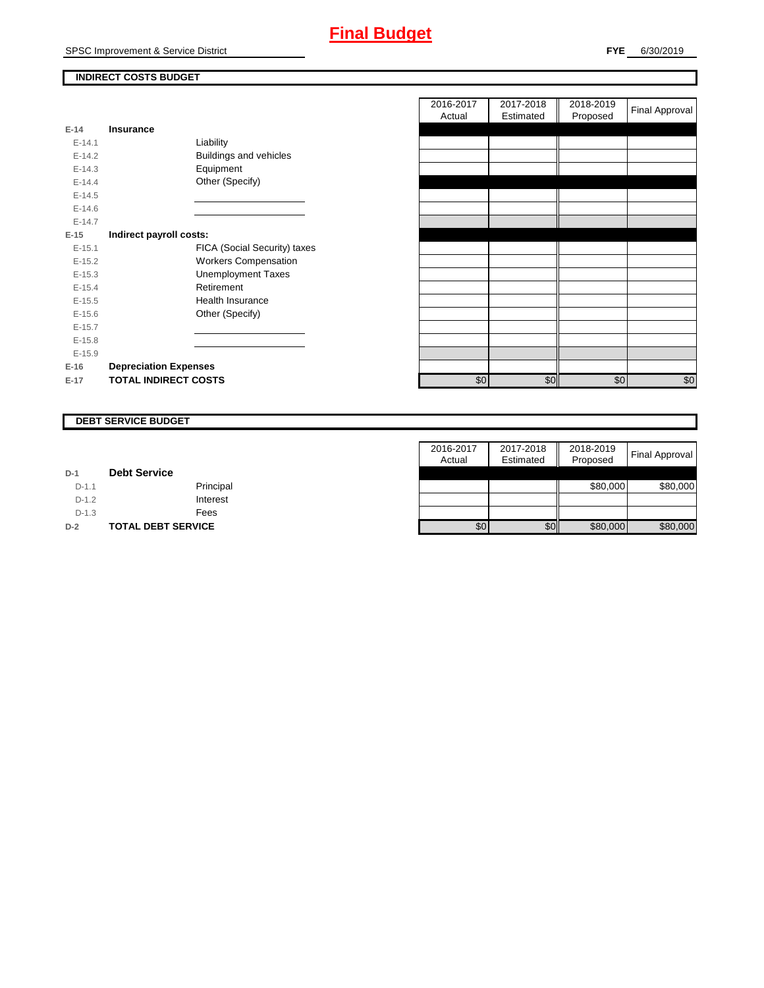SPSC Improvement & Service District

## **INDIRECT COSTS BUDGET**

| $E-14$     | Insurance                    |
|------------|------------------------------|
| $E - 14.1$ | Liability                    |
| $E-14.2$   | Buildings and vehicles       |
| $F-14.3$   | Equipment                    |
| $F-144$    | Other (Specify)              |
| $E-14.5$   |                              |
| $E - 14.6$ |                              |
| $E-14.7$   |                              |
| $E-15$     | Indirect payroll costs:      |
| $E-15.1$   | FICA (Social Security) taxes |
| $E-15.2$   | <b>Workers Compensation</b>  |
| $E-15.3$   | <b>Unemployment Taxes</b>    |
| $E-15.4$   | Retirement                   |
| $F-15.5$   | Health Insurance             |
| $E - 15.6$ | Other (Specify)              |
| $E-15.7$   |                              |
| $E-15.8$   |                              |
| $E-15.9$   |                              |
| $E-16$     | <b>Depreciation Expenses</b> |
| $E-17$     | <b>TOTAL INDIRECT COSTS</b>  |

|          |                              | 2016-2017<br>Actual | 2017-2018<br>Estimated | 2018-2019<br>Proposed | <b>Final Approval</b> |
|----------|------------------------------|---------------------|------------------------|-----------------------|-----------------------|
| $E-14$   | <b>Insurance</b>             |                     |                        |                       |                       |
| $E-14.1$ | Liability                    |                     |                        |                       |                       |
| $E-14.2$ | Buildings and vehicles       |                     |                        |                       |                       |
| $E-14.3$ | Equipment                    |                     |                        |                       |                       |
| $E-14.4$ | Other (Specify)              |                     |                        |                       |                       |
| $E-14.5$ |                              |                     |                        |                       |                       |
| $E-14.6$ |                              |                     |                        |                       |                       |
| $E-14.7$ |                              |                     |                        |                       |                       |
| $E-15$   | Indirect payroll costs:      |                     |                        |                       |                       |
| $E-15.1$ | FICA (Social Security) taxes |                     |                        |                       |                       |
| $E-15.2$ | <b>Workers Compensation</b>  |                     |                        |                       |                       |
| $E-15.3$ | <b>Unemployment Taxes</b>    |                     |                        |                       |                       |
| $E-15.4$ | Retirement                   |                     |                        |                       |                       |
| $E-15.5$ | <b>Health Insurance</b>      |                     |                        |                       |                       |
| $E-15.6$ | Other (Specify)              |                     |                        |                       |                       |
| $E-15.7$ |                              |                     |                        |                       |                       |
| $E-15.8$ |                              |                     |                        |                       |                       |
| $E-15.9$ |                              |                     |                        |                       |                       |
| $E-16$   | <b>Depreciation Expenses</b> |                     |                        |                       |                       |
| $E-17$   | <b>TOTAL INDIRECT COSTS</b>  | \$0                 | \$0                    | \$0                   | \$0                   |
|          |                              |                     |                        |                       |                       |

## **DEBT SERVICE BUDGET**

|         |                           | 2016-2017 | 2017-2018 | 2018-2019 |                       |
|---------|---------------------------|-----------|-----------|-----------|-----------------------|
|         |                           | Actual    | Estimated | Proposed  | <b>Final Approval</b> |
| $D-1$   | <b>Debt Service</b>       |           |           |           |                       |
| $D-1.1$ | Principal                 |           |           | \$80,000  | \$80,000              |
| $D-1.2$ | Interest                  |           |           |           |                       |
| $D-1.3$ | Fees                      |           |           |           |                       |
| $D-2$   | <b>TOTAL DEBT SERVICE</b> | \$0       | \$0       | \$80,000  | \$80,000              |